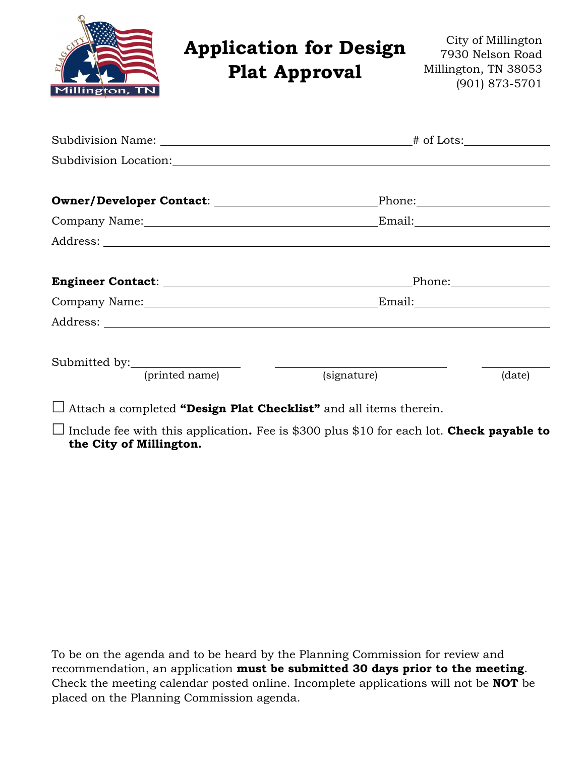| Millington, TN               | <b>Application for Design</b><br><b>Plat Approval</b>                                                                                                                                                                          |             | City of Millington<br>7930 Nelson Road<br>Millington, TN 38053<br>(901) 873-5701                                                                                                                                               |
|------------------------------|--------------------------------------------------------------------------------------------------------------------------------------------------------------------------------------------------------------------------------|-------------|--------------------------------------------------------------------------------------------------------------------------------------------------------------------------------------------------------------------------------|
|                              |                                                                                                                                                                                                                                |             |                                                                                                                                                                                                                                |
|                              | Subdivision Location: New York Contract of the Contract of the Contract of the Contract of the Contract of the Contract of the Contract of the Contract of the Contract of the Contract of the Contract of the Contract of the |             |                                                                                                                                                                                                                                |
|                              | Owner/Developer Contact: \\square\\square\square\square\square\square\square\square\square\square\square\square\                                                                                                               |             | Phone: Phone Phone Phone Phone Phone Phone Phone Phone Phone Phone Phone Phone Phone Phone Phone Phone Phone Phone Phone Phone Phone Phone Phone Phone Phone Phone Phone Phone Phone Phone Phone Phone Phone Phone Phone Phone |
|                              | Company Name: Manual Company Name:                                                                                                                                                                                             |             |                                                                                                                                                                                                                                |
|                              |                                                                                                                                                                                                                                |             |                                                                                                                                                                                                                                |
|                              |                                                                                                                                                                                                                                |             |                                                                                                                                                                                                                                |
|                              |                                                                                                                                                                                                                                |             |                                                                                                                                                                                                                                |
|                              |                                                                                                                                                                                                                                |             |                                                                                                                                                                                                                                |
|                              |                                                                                                                                                                                                                                |             |                                                                                                                                                                                                                                |
| Submitted by: (printed name) |                                                                                                                                                                                                                                | (signature) | (date)                                                                                                                                                                                                                         |
|                              |                                                                                                                                                                                                                                |             |                                                                                                                                                                                                                                |

Attach a completed **"Design Plat Checklist"** and all items therein.

 Include fee with this application**.** Fee is \$300 plus \$10 for each lot. **Check payable to the City of Millington.**

To be on the agenda and to be heard by the Planning Commission for review and recommendation, an application **must be submitted 30 days prior to the meeting**. Check the meeting calendar posted online. Incomplete applications will not be **NOT** be placed on the Planning Commission agenda.